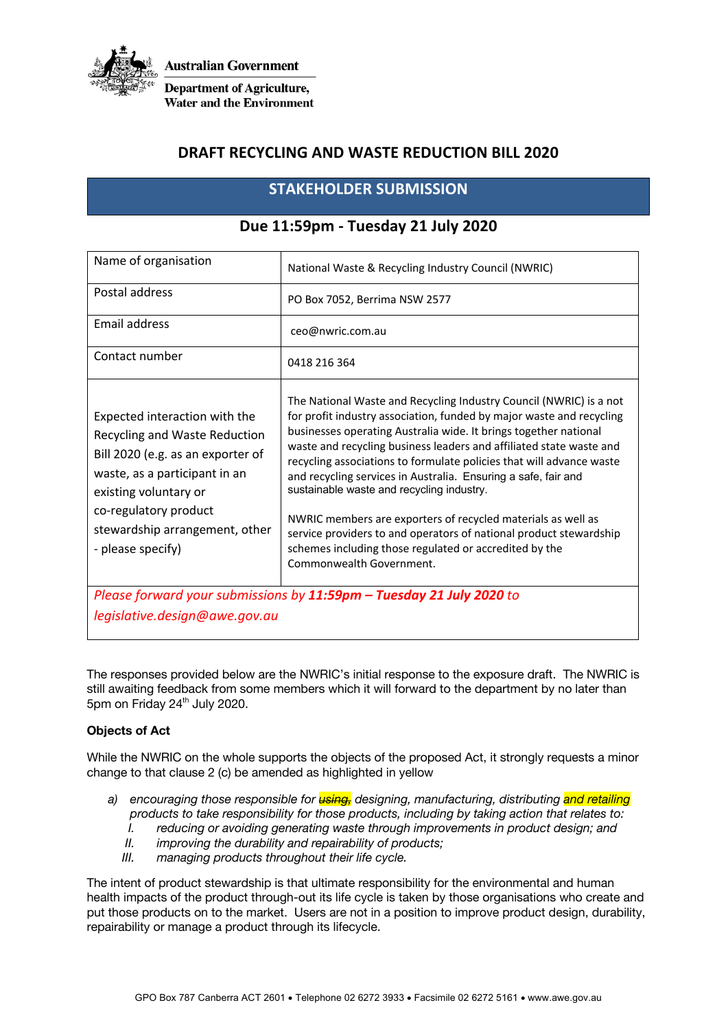

## **DRAFT RECYCLING AND WASTE REDUCTION BILL 2020**

# **STAKEHOLDER SUBMISSION**

| Name of organisation                                                                                                                                                                                                                          | National Waste & Recycling Industry Council (NWRIC)                                                                                                                                                                                                                                                                                                                                                                                                                                                                                                                                                                                                                                                      |
|-----------------------------------------------------------------------------------------------------------------------------------------------------------------------------------------------------------------------------------------------|----------------------------------------------------------------------------------------------------------------------------------------------------------------------------------------------------------------------------------------------------------------------------------------------------------------------------------------------------------------------------------------------------------------------------------------------------------------------------------------------------------------------------------------------------------------------------------------------------------------------------------------------------------------------------------------------------------|
| Postal address                                                                                                                                                                                                                                | PO Box 7052, Berrima NSW 2577                                                                                                                                                                                                                                                                                                                                                                                                                                                                                                                                                                                                                                                                            |
| Email address                                                                                                                                                                                                                                 | ceo@nwric.com.au                                                                                                                                                                                                                                                                                                                                                                                                                                                                                                                                                                                                                                                                                         |
| Contact number                                                                                                                                                                                                                                | 0418 216 364                                                                                                                                                                                                                                                                                                                                                                                                                                                                                                                                                                                                                                                                                             |
| Expected interaction with the<br>Recycling and Waste Reduction<br>Bill 2020 (e.g. as an exporter of<br>waste, as a participant in an<br>existing voluntary or<br>co-regulatory product<br>stewardship arrangement, other<br>- please specify) | The National Waste and Recycling Industry Council (NWRIC) is a not<br>for profit industry association, funded by major waste and recycling<br>businesses operating Australia wide. It brings together national<br>waste and recycling business leaders and affiliated state waste and<br>recycling associations to formulate policies that will advance waste<br>and recycling services in Australia. Ensuring a safe, fair and<br>sustainable waste and recycling industry.<br>NWRIC members are exporters of recycled materials as well as<br>service providers to and operators of national product stewardship<br>schemes including those regulated or accredited by the<br>Commonwealth Government. |
| Please forward your submissions by 11:59pm - Tuesday 21 July 2020 to                                                                                                                                                                          |                                                                                                                                                                                                                                                                                                                                                                                                                                                                                                                                                                                                                                                                                                          |
| legislative.design@awe.gov.au                                                                                                                                                                                                                 |                                                                                                                                                                                                                                                                                                                                                                                                                                                                                                                                                                                                                                                                                                          |

## **Due 11:59pm - Tuesday 21 July 2020**

The responses provided below are the NWRIC's initial response to the exposure draft. The NWRIC is still awaiting feedback from some members which it will forward to the department by no later than 5pm on Friday 24<sup>th</sup> July 2020.

## **Objects of Act**

While the NWRIC on the whole supports the objects of the proposed Act, it strongly requests a minor change to that clause 2 (c) be amended as highlighted in yellow

- *a) encouraging those responsible for using, designing, manufacturing, distributing and retailing products to take responsibility for those products, including by taking action that relates to:* 
	- *I. reducing or avoiding generating waste through improvements in product design; and*
	- *II. improving the durability and repairability of products;*
	- *III. managing products throughout their life cycle.*

The intent of product stewardship is that ultimate responsibility for the environmental and human health impacts of the product through-out its life cycle is taken by those organisations who create and put those products on to the market. Users are not in a position to improve product design, durability, repairability or manage a product through its lifecycle.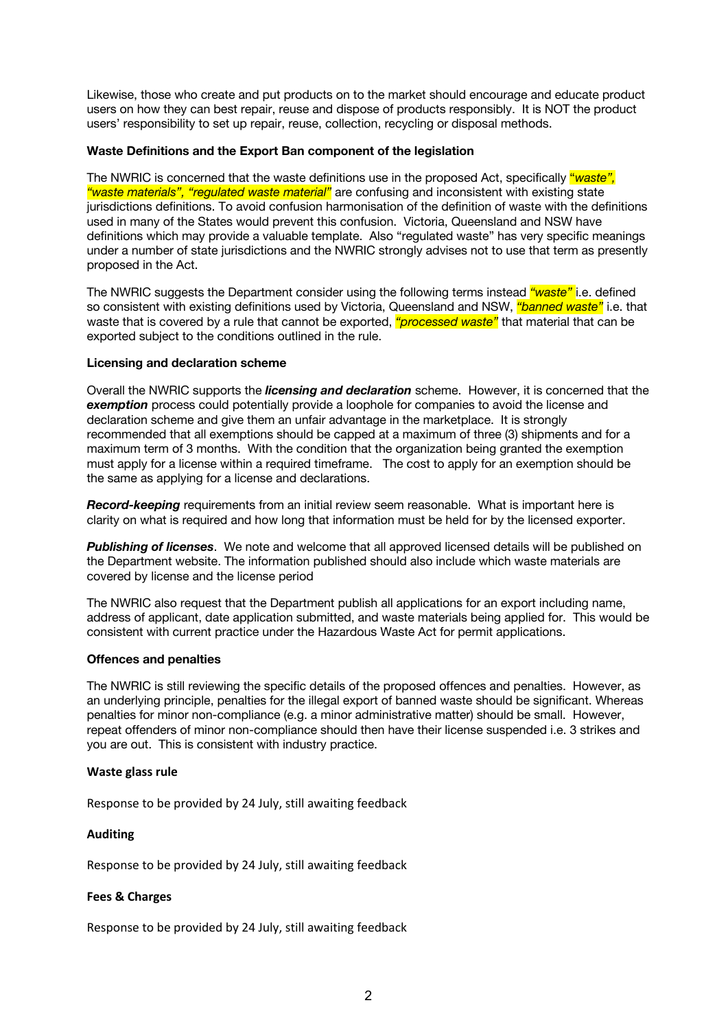Likewise, those who create and put products on to the market should encourage and educate product users on how they can best repair, reuse and dispose of products responsibly. It is NOT the product users' responsibility to set up repair, reuse, collection, recycling or disposal methods.

## **Waste Definitions and the Export Ban component of the legislation**

The NWRIC is concerned that the waste definitions use in the proposed Act, specifically "*waste", "waste materials", "regulated waste material"* are confusing and inconsistent with existing state jurisdictions definitions. To avoid confusion harmonisation of the definition of waste with the definitions used in many of the States would prevent this confusion. Victoria, Queensland and NSW have definitions which may provide a valuable template. Also "regulated waste" has very specific meanings under a number of state jurisdictions and the NWRIC strongly advises not to use that term as presently proposed in the Act.

The NWRIC suggests the Department consider using the following terms instead *"waste"* i.e. defined so consistent with existing definitions used by Victoria, Queensland and NSW, *"banned waste"* i.e. that waste that is covered by a rule that cannot be exported, *"processed waste"* that material that can be exported subject to the conditions outlined in the rule.

## **Licensing and declaration scheme**

Overall the NWRIC supports the *licensing and declaration* scheme. However, it is concerned that the *exemption* process could potentially provide a loophole for companies to avoid the license and declaration scheme and give them an unfair advantage in the marketplace. It is strongly recommended that all exemptions should be capped at a maximum of three (3) shipments and for a maximum term of 3 months. With the condition that the organization being granted the exemption must apply for a license within a required timeframe. The cost to apply for an exemption should be the same as applying for a license and declarations.

*Record-keeping* requirements from an initial review seem reasonable. What is important here is clarity on what is required and how long that information must be held for by the licensed exporter.

*Publishing of licenses*. We note and welcome that all approved licensed details will be published on the Department website. The information published should also include which waste materials are covered by license and the license period

The NWRIC also request that the Department publish all applications for an export including name, address of applicant, date application submitted, and waste materials being applied for. This would be consistent with current practice under the Hazardous Waste Act for permit applications.

## **Offences and penalties**

The NWRIC is still reviewing the specific details of the proposed offences and penalties. However, as an underlying principle, penalties for the illegal export of banned waste should be significant. Whereas penalties for minor non-compliance (e.g. a minor administrative matter) should be small. However, repeat offenders of minor non-compliance should then have their license suspended i.e. 3 strikes and you are out. This is consistent with industry practice.

## **Waste glass rule**

Response to be provided by 24 July, still awaiting feedback

## **Auditing**

Response to be provided by 24 July, still awaiting feedback

## **Fees & Charges**

Response to be provided by 24 July, still awaiting feedback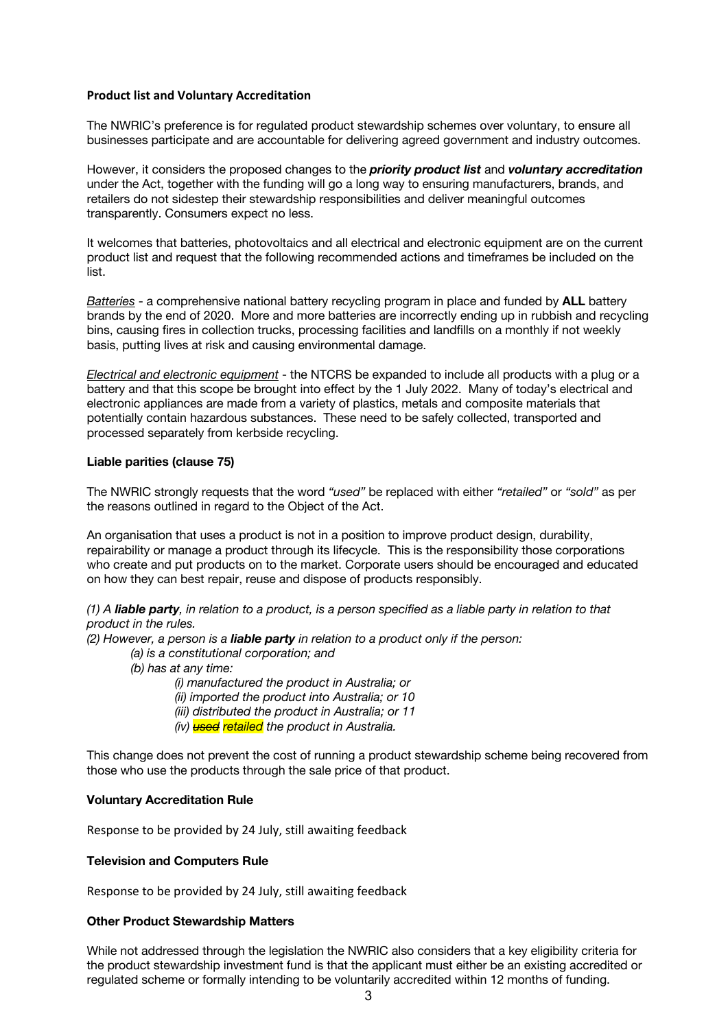## **Product list and Voluntary Accreditation**

The NWRIC's preference is for regulated product stewardship schemes over voluntary, to ensure all businesses participate and are accountable for delivering agreed government and industry outcomes.

However, it considers the proposed changes to the *priority product list* and *voluntary accreditation* under the Act, together with the funding will go a long way to ensuring manufacturers, brands, and retailers do not sidestep their stewardship responsibilities and deliver meaningful outcomes transparently. Consumers expect no less.

It welcomes that batteries, photovoltaics and all electrical and electronic equipment are on the current product list and request that the following recommended actions and timeframes be included on the list.

*Batteries* - a comprehensive national battery recycling program in place and funded by **ALL** battery brands by the end of 2020. More and more batteries are incorrectly ending up in rubbish and recycling bins, causing fires in collection trucks, processing facilities and landfills on a monthly if not weekly basis, putting lives at risk and causing environmental damage.

*Electrical and electronic equipment* - the NTCRS be expanded to include all products with a plug or a battery and that this scope be brought into effect by the 1 July 2022. Many of today's electrical and electronic appliances are made from a variety of plastics, metals and composite materials that potentially contain hazardous substances. These need to be safely collected, transported and processed separately from kerbside recycling.

## **Liable parities (clause 75)**

The NWRIC strongly requests that the word *"used"* be replaced with either *"retailed"* or *"sold"* as per the reasons outlined in regard to the Object of the Act.

An organisation that uses a product is not in a position to improve product design, durability, repairability or manage a product through its lifecycle. This is the responsibility those corporations who create and put products on to the market. Corporate users should be encouraged and educated on how they can best repair, reuse and dispose of products responsibly.

*(1) A liable party, in relation to a product, is a person specified as a liable party in relation to that product in the rules.* 

*(2) However, a person is a liable party in relation to a product only if the person:* 

*(a) is a constitutional corporation; and* 

- *(b) has at any time:* 
	- *(i) manufactured the product in Australia; or*
	- *(ii) imported the product into Australia; or 10*
	- *(iii) distributed the product in Australia; or 11*
	- *(iv) used retailed the product in Australia.*

This change does not prevent the cost of running a product stewardship scheme being recovered from those who use the products through the sale price of that product.

## **Voluntary Accreditation Rule**

Response to be provided by 24 July, still awaiting feedback

## **Television and Computers Rule**

Response to be provided by 24 July, still awaiting feedback

## **Other Product Stewardship Matters**

While not addressed through the legislation the NWRIC also considers that a key eligibility criteria for the product stewardship investment fund is that the applicant must either be an existing accredited or regulated scheme or formally intending to be voluntarily accredited within 12 months of funding.